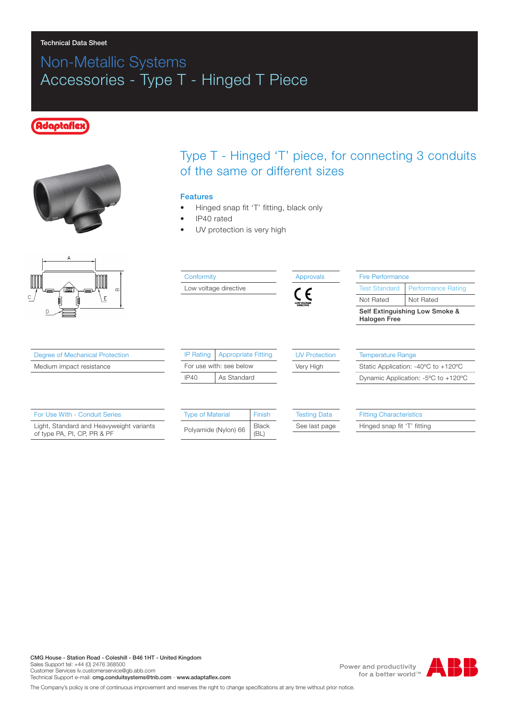# Non-Metallic Systems Accessories - Type T - Hinged T Piece

#### daptaf





Degree of Mechanical Protection Medium impact resistance

For Use With - Conduit Series

### Type T - Hinged 'T' piece, for connecting 3 conduits of the same or different sizes

#### Features

- Hinged snap fit 'T' fitting, black only
- IP40 rated
- UV protection is very high



Light, Standard and Heavyweight variants of type PA, PI, CP, PR & PF

|  | <b>Type of Material</b> | Finish        |  |
|--|-------------------------|---------------|--|
|  | Polyamide (Nylon) 66    | Black<br>(BL) |  |

See last page

Hinged snap fit 'T' fitting

CMG House - Station Road - Coleshill - B46 1HT - United Kingdom Sales Support tel: +44 (0) 2476 368500 Customer Services Iv.customerservice@gb.abb.com Technical Support e-mail: cmg.conduitsystems@tnb.com - www.adaptaflex.com

Power and productivity for a better world™



The Company's policy is one of continuous improvement and reserves the right to change specifications at any time without prior notice.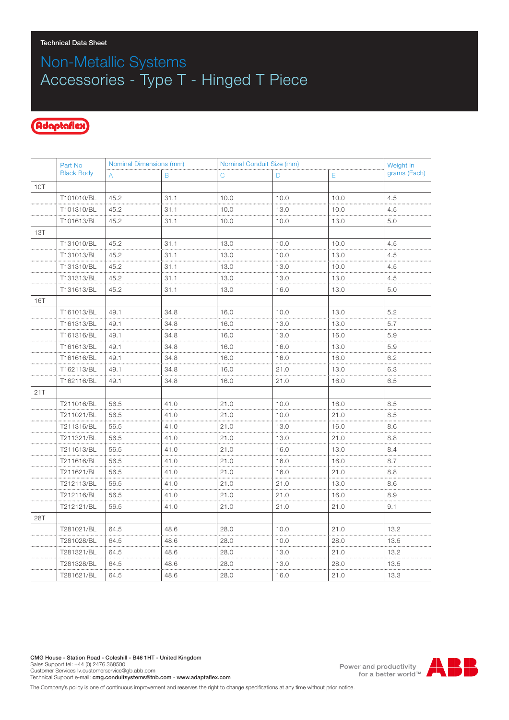# Non-Metallic Systems Accessories - Type T - Hinged T Piece

### Adaptaflex

|            | Part No<br><b>Black Body</b> | Nominal Dimensions (mm) |      | Nominal Conduit Size (mm) |      |      | Weight in    |
|------------|------------------------------|-------------------------|------|---------------------------|------|------|--------------|
|            |                              | A                       | B    | С                         | D    | Е    | grams (Each) |
| 10T        |                              |                         |      |                           |      |      |              |
|            | T101010/BL                   | 45.2                    | 31.1 | 10.0                      | 10.0 | 10.0 | 4.5          |
|            | T101310/BL                   | 45.2                    | 31.1 | 10.0                      | 13.0 | 10.0 | 4.5          |
|            | T101613/BL                   | 45.2                    | 31.1 | 10.0                      | 10.0 | 13.0 | 5.0          |
| 13T        |                              |                         |      |                           |      |      |              |
|            | T131010/BL                   | 45.2                    | 31.1 | 13.0                      | 10.0 | 10.0 | 4.5          |
|            | T131013/BL                   | 45.2                    | 31.1 | 13.0                      | 10.0 | 13.0 | 4.5          |
|            | T131310/BL                   | 45.2                    | 31.1 | 13.0                      | 13.0 | 10.0 | 4.5          |
|            | T131313/BL                   | 45.2                    | 31.1 | 13.0                      | 13.0 | 13.0 | 4.5          |
|            | T131613/BL                   | 45.2                    | 31.1 | 13.0                      | 16.0 | 13.0 | 5.0          |
| <b>16T</b> |                              |                         |      |                           |      |      |              |
|            | T161013/BL                   | 49.1                    | 34.8 | 16.0                      | 10.0 | 13.0 | 5.2          |
|            | T161313/BL                   | 49.1                    | 34.8 | 16.0                      | 13.0 | 13.0 | 5.7          |
|            | T161316/BL                   | 49.1                    | 34.8 | 16.0                      | 13.0 | 16.0 | 5.9          |
|            | T161613/BL                   | 49.1                    | 34.8 | 16.0                      | 16.0 | 13.0 | 5.9          |
|            | T161616/BL                   | 49.1                    | 34.8 | 16.0                      | 16.0 | 16.0 | 6.2          |
|            | T162113/BL                   | 49.1                    | 34.8 | 16.0                      | 21.0 | 13.0 | 6.3          |
|            | T162116/BL                   | 49.1                    | 34.8 | 16.0                      | 21.0 | 16.0 | 6.5          |
| 21T        |                              |                         |      |                           |      |      |              |
|            | T211016/BL                   | 56.5                    | 41.0 | 21.0                      | 10.0 | 16.0 | 8.5          |
|            | T211021/BL                   | 56.5                    | 41.0 | 21.0                      | 10.0 | 21.0 | 8.5          |
|            | T211316/BL                   | 56.5                    | 41.0 | 21.0                      | 13.0 | 16.0 | 8.6          |
|            | T211321/BL                   | 56.5                    | 41.0 | 21.0                      | 13.0 | 21.0 | 8.8          |
|            | T211613/BL                   | 56.5                    | 41.0 | 21.0                      | 16.0 | 13.0 | 8.4          |
|            | T211616/BL                   | 56.5                    | 41.0 | 21.0                      | 16.0 | 16.0 | 8.7          |
|            | T211621/BL                   | 56.5                    | 41.0 | 21.0                      | 16.0 | 21.0 | 8.8          |
|            | T212113/BL                   | 56.5                    | 41.0 | 21.0                      | 21.0 | 13.0 | 8.6          |
|            | T212116/BL                   | 56.5                    | 41.0 | 21.0                      | 21.0 | 16.0 | 8.9          |
|            | T212121/BL                   | 56.5                    | 41.0 | 21.0                      | 21.0 | 21.0 | 9.1          |
| 28T        |                              |                         |      |                           |      |      |              |
|            | T281021/BL                   | 64.5                    | 48.6 | 28.0                      | 10.0 | 21.0 | 13.2         |
|            | T281028/BL                   | 64.5                    | 48.6 | 28.0                      | 10.0 | 28.0 | 13.5         |
|            | T281321/BL                   | 64.5                    | 48.6 | 28.0                      | 13.0 | 21.0 | 13.2         |
|            | T281328/BL                   | 64.5                    | 48.6 | 28.0                      | 13.0 | 28.0 | 13.5         |
|            | T281621/BL                   | 64.5                    | 48.6 | 28.0                      | 16.0 | 21.0 | 13.3         |

Power and productivity<br>for a better world<sup>™</sup>



The Company's policy is one of continuous improvement and reserves the right to change specifications at any time without prior notice.